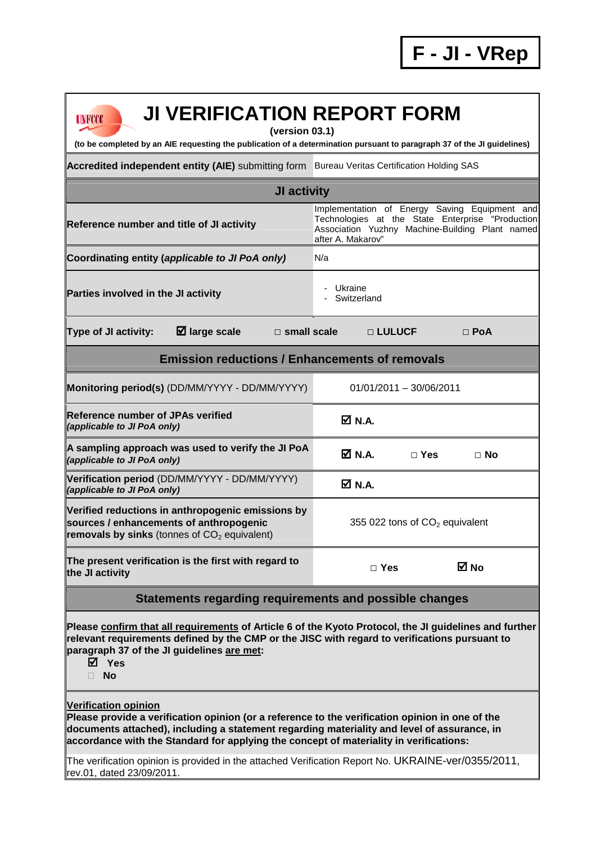| <b>JI VERIFICATION REPORT FORM</b><br>UNFCCC                                                                                                                                                                                                                                                                            |                                                                                                                                                                           |  |  |  |
|-------------------------------------------------------------------------------------------------------------------------------------------------------------------------------------------------------------------------------------------------------------------------------------------------------------------------|---------------------------------------------------------------------------------------------------------------------------------------------------------------------------|--|--|--|
| (version 03.1)<br>(to be completed by an AIE requesting the publication of a determination pursuant to paragraph 37 of the JI guidelines)                                                                                                                                                                               |                                                                                                                                                                           |  |  |  |
| Accredited independent entity (AIE) submitting form Bureau Veritas Certification Holding SAS                                                                                                                                                                                                                            |                                                                                                                                                                           |  |  |  |
| JI activity                                                                                                                                                                                                                                                                                                             |                                                                                                                                                                           |  |  |  |
| Reference number and title of JI activity                                                                                                                                                                                                                                                                               | Implementation of Energy Saving Equipment and<br>Technologies at the State Enterprise "Production<br>Association Yuzhny Machine-Building Plant named<br>after A. Makarov" |  |  |  |
| Coordinating entity (applicable to JI PoA only)                                                                                                                                                                                                                                                                         | N/a                                                                                                                                                                       |  |  |  |
| Parties involved in the JI activity                                                                                                                                                                                                                                                                                     | - Ukraine<br>Switzerland                                                                                                                                                  |  |  |  |
| $\boxtimes$ large scale<br><b>Type of JI activity:</b><br>$\Box$ small scale                                                                                                                                                                                                                                            | □ LULUCF<br>$\Box$ PoA                                                                                                                                                    |  |  |  |
| <b>Emission reductions / Enhancements of removals</b>                                                                                                                                                                                                                                                                   |                                                                                                                                                                           |  |  |  |
| Monitoring period(s) (DD/MM/YYYY - DD/MM/YYYY)                                                                                                                                                                                                                                                                          | $01/01/2011 - 30/06/2011$                                                                                                                                                 |  |  |  |
| <b>Reference number of JPAs verified</b><br>(applicable to JI PoA only)                                                                                                                                                                                                                                                 | $\nabla N.A.$                                                                                                                                                             |  |  |  |
| A sampling approach was used to verify the JI PoA<br>(applicable to JI PoA only)                                                                                                                                                                                                                                        | M N.A.<br>$\Box$ Yes<br>$\Box$ No                                                                                                                                         |  |  |  |
| Verification period (DD/MM/YYYY - DD/MM/YYYY)<br>(applicable to JI PoA only)                                                                                                                                                                                                                                            | Ø N.A.                                                                                                                                                                    |  |  |  |
| Verified reductions in anthropogenic emissions by<br>sources / enhancements of anthropogenic<br>removals by sinks (tonnes of $CO2$ equivalent)                                                                                                                                                                          | 355 022 tons of CO <sub>2</sub> equivalent                                                                                                                                |  |  |  |
| The present verification is the first with regard to<br>the JI activity                                                                                                                                                                                                                                                 | ⊠ No<br>$\Box$ Yes                                                                                                                                                        |  |  |  |
| Statements regarding requirements and possible changes                                                                                                                                                                                                                                                                  |                                                                                                                                                                           |  |  |  |
| Please confirm that all requirements of Article 6 of the Kyoto Protocol, the JI guidelines and further<br>relevant requirements defined by the CMP or the JISC with regard to verifications pursuant to<br>paragraph 37 of the JI guidelines are met:<br>⊠ Yes<br><b>No</b>                                             |                                                                                                                                                                           |  |  |  |
| <b>Verification opinion</b><br>Please provide a verification opinion (or a reference to the verification opinion in one of the<br>documents attached), including a statement regarding materiality and level of assurance, in<br>accordance with the Standard for applying the concept of materiality in verifications: |                                                                                                                                                                           |  |  |  |

The verification opinion is provided in the attached Verification Report No. UKRAINE-ver/0355/2011, rev.01, dated 23/09/2011.